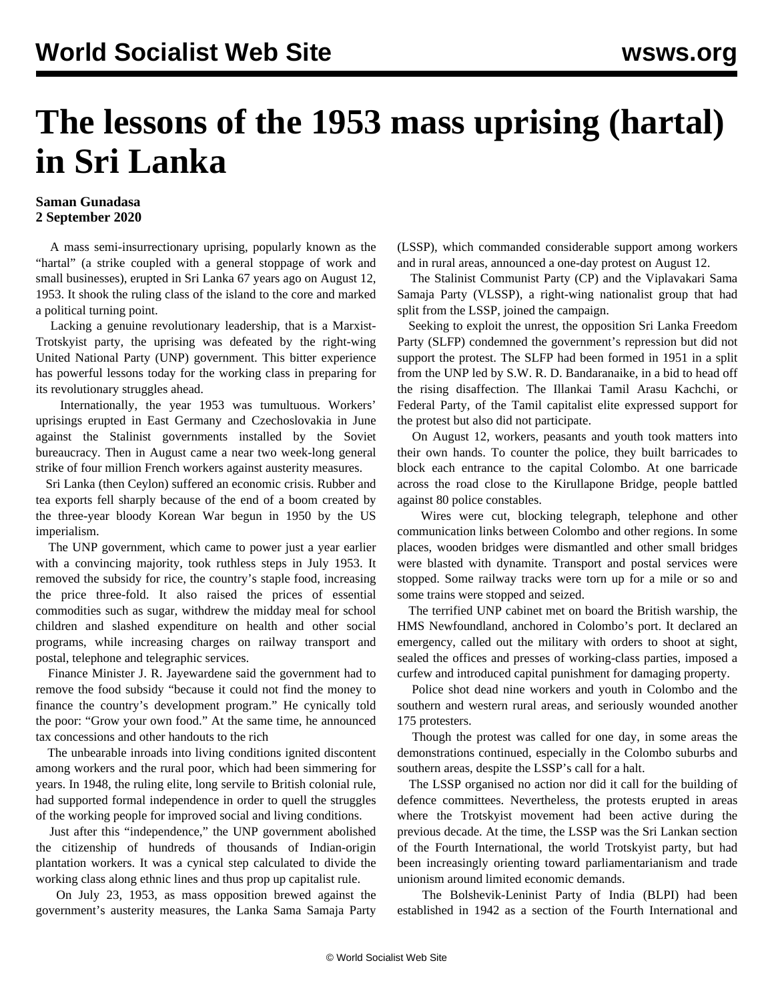## **The lessons of the 1953 mass uprising (hartal) in Sri Lanka**

## **Saman Gunadasa 2 September 2020**

 A mass semi-insurrectionary uprising, popularly known as the "hartal" (a strike coupled with a general stoppage of work and small businesses), erupted in Sri Lanka 67 years ago on August 12, 1953. It shook the ruling class of the island to the core and marked a political turning point.

 Lacking a genuine revolutionary leadership, that is a Marxist-Trotskyist party, the uprising was defeated by the right-wing United National Party (UNP) government. This bitter experience has powerful lessons today for the working class in preparing for its revolutionary struggles ahead.

 Internationally, the year 1953 was tumultuous. Workers' uprisings erupted in East Germany and Czechoslovakia in June against the Stalinist governments installed by the Soviet bureaucracy. Then in August came a near two week-long general strike of four million French workers against austerity measures.

 Sri Lanka (then Ceylon) suffered an economic crisis. Rubber and tea exports fell sharply because of the end of a boom created by the three-year bloody Korean War begun in 1950 by the US imperialism.

 The UNP government, which came to power just a year earlier with a convincing majority, took ruthless steps in July 1953. It removed the subsidy for rice, the country's staple food, increasing the price three-fold. It also raised the prices of essential commodities such as sugar, withdrew the midday meal for school children and slashed expenditure on health and other social programs, while increasing charges on railway transport and postal, telephone and telegraphic services.

 Finance Minister J. R. Jayewardene said the government had to remove the food subsidy "because it could not find the money to finance the country's development program." He cynically told the poor: "Grow your own food." At the same time, he announced tax concessions and other handouts to the rich

 The unbearable inroads into living conditions ignited discontent among workers and the rural poor, which had been simmering for years. In 1948, the ruling elite, long servile to British colonial rule, had supported formal independence in order to quell the struggles of the working people for improved social and living conditions.

 Just after this "independence," the UNP government abolished the citizenship of hundreds of thousands of Indian-origin plantation workers. It was a cynical step calculated to divide the working class along ethnic lines and thus prop up capitalist rule.

 On July 23, 1953, as mass opposition brewed against the government's austerity measures, the Lanka Sama Samaja Party (LSSP), which commanded considerable support among workers and in rural areas, announced a one-day protest on August 12.

 The Stalinist Communist Party (CP) and the Viplavakari Sama Samaja Party (VLSSP), a right-wing nationalist group that had split from the LSSP, joined the campaign.

 Seeking to exploit the unrest, the opposition Sri Lanka Freedom Party (SLFP) condemned the government's repression but did not support the protest. The SLFP had been formed in 1951 in a split from the UNP led by S.W. R. D. Bandaranaike, in a bid to head off the rising disaffection. The Illankai Tamil Arasu Kachchi, or Federal Party, of the Tamil capitalist elite expressed support for the protest but also did not participate.

 On August 12, workers, peasants and youth took matters into their own hands. To counter the police, they built barricades to block each entrance to the capital Colombo. At one barricade across the road close to the Kirullapone Bridge, people battled against 80 police constables.

 Wires were cut, blocking telegraph, telephone and other communication links between Colombo and other regions. In some places, wooden bridges were dismantled and other small bridges were blasted with dynamite. Transport and postal services were stopped. Some railway tracks were torn up for a mile or so and some trains were stopped and seized.

 The terrified UNP cabinet met on board the British warship, the HMS Newfoundland, anchored in Colombo's port. It declared an emergency, called out the military with orders to shoot at sight, sealed the offices and presses of working-class parties, imposed a curfew and introduced capital punishment for damaging property.

 Police shot dead nine workers and youth in Colombo and the southern and western rural areas, and seriously wounded another 175 protesters.

 Though the protest was called for one day, in some areas the demonstrations continued, especially in the Colombo suburbs and southern areas, despite the LSSP's call for a halt.

 The LSSP organised no action nor did it call for the building of defence committees. Nevertheless, the protests erupted in areas where the Trotskyist movement had been active during the previous decade. At the time, the LSSP was the Sri Lankan section of the Fourth International, the world Trotskyist party, but had been increasingly orienting toward parliamentarianism and trade unionism around limited economic demands.

 The Bolshevik-Leninist Party of India (BLPI) had been established in 1942 as a section of the Fourth International and